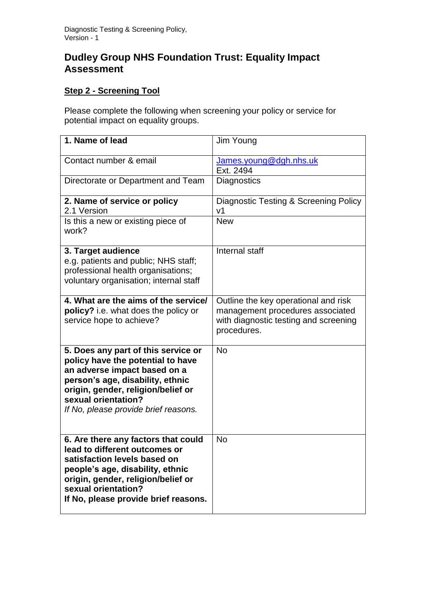## **Dudley Group NHS Foundation Trust: Equality Impact Assessment**

## **Step 2 - Screening Tool**

Please complete the following when screening your policy or service for potential impact on equality groups.

| 1. Name of lead                                                                                                                                                                                                                                   | Jim Young                                                                                                                        |
|---------------------------------------------------------------------------------------------------------------------------------------------------------------------------------------------------------------------------------------------------|----------------------------------------------------------------------------------------------------------------------------------|
| Contact number & email                                                                                                                                                                                                                            | James.young@dgh.nhs.uk<br>Ext. 2494                                                                                              |
| Directorate or Department and Team                                                                                                                                                                                                                | Diagnostics                                                                                                                      |
| 2. Name of service or policy<br>2.1 Version                                                                                                                                                                                                       | Diagnostic Testing & Screening Policy<br>V <sub>1</sub>                                                                          |
| Is this a new or existing piece of<br>work?                                                                                                                                                                                                       | <b>New</b>                                                                                                                       |
| 3. Target audience<br>e.g. patients and public; NHS staff;<br>professional health organisations;<br>voluntary organisation; internal staff                                                                                                        | Internal staff                                                                                                                   |
| 4. What are the aims of the service/<br>policy? i.e. what does the policy or<br>service hope to achieve?                                                                                                                                          | Outline the key operational and risk<br>management procedures associated<br>with diagnostic testing and screening<br>procedures. |
| 5. Does any part of this service or<br>policy have the potential to have<br>an adverse impact based on a<br>person's age, disability, ethnic<br>origin, gender, religion/belief or<br>sexual orientation?<br>If No, please provide brief reasons. | <b>No</b>                                                                                                                        |
| 6. Are there any factors that could<br>lead to different outcomes or<br>satisfaction levels based on<br>people's age, disability, ethnic<br>origin, gender, religion/belief or<br>sexual orientation?<br>If No, please provide brief reasons.     | <b>No</b>                                                                                                                        |